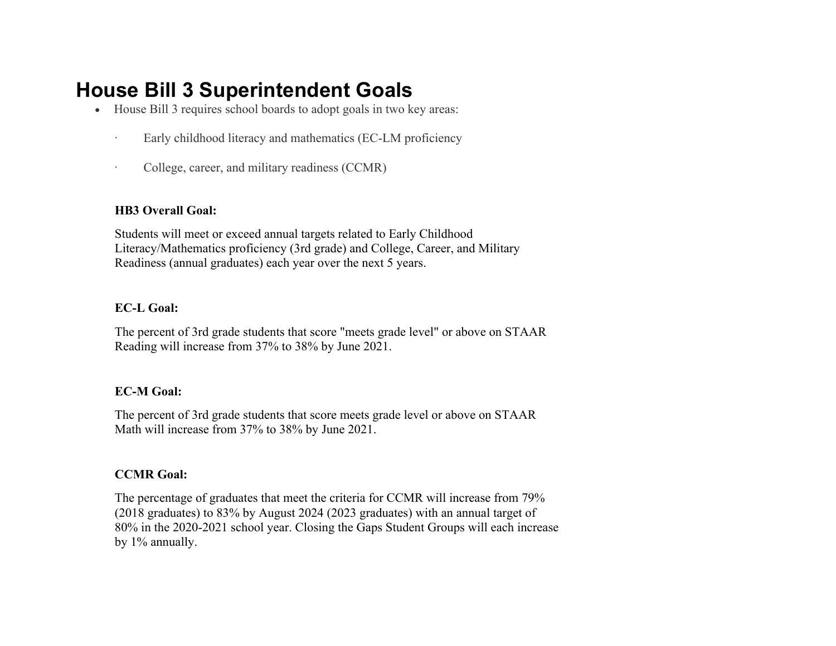# **House Bill 3 Superintendent Goals**

- House Bill 3 requires school boards to adopt goals in two key areas:
	- · Early childhood literacy and mathematics (EC-LM proficiency
	- · College, career, and military readiness (CCMR)

## **HB3 Overall Goal:**

Students will meet or exceed annual targets related to Early Childhood Literacy/Mathematics proficiency (3rd grade) and College, Career, and Military Readiness (annual graduates) each year over the next 5 years.

### **EC-L Goal:**

The percent of 3rd grade students that score "meets grade level" or above on STAAR Reading will increase from 37% to 38% by June 2021.

### **EC-M Goal:**

The percent of 3rd grade students that score meets grade level or above on STAAR Math will increase from 37% to 38% by June 2021.

## **CCMR Goal:**

The percentage of graduates that meet the criteria for CCMR will increase from 79% (2018 graduates) to 83% by August 2024 (2023 graduates) with an annual target of 80% in the 2020-2021 school year. Closing the Gaps Student Groups will each increase by 1% annually.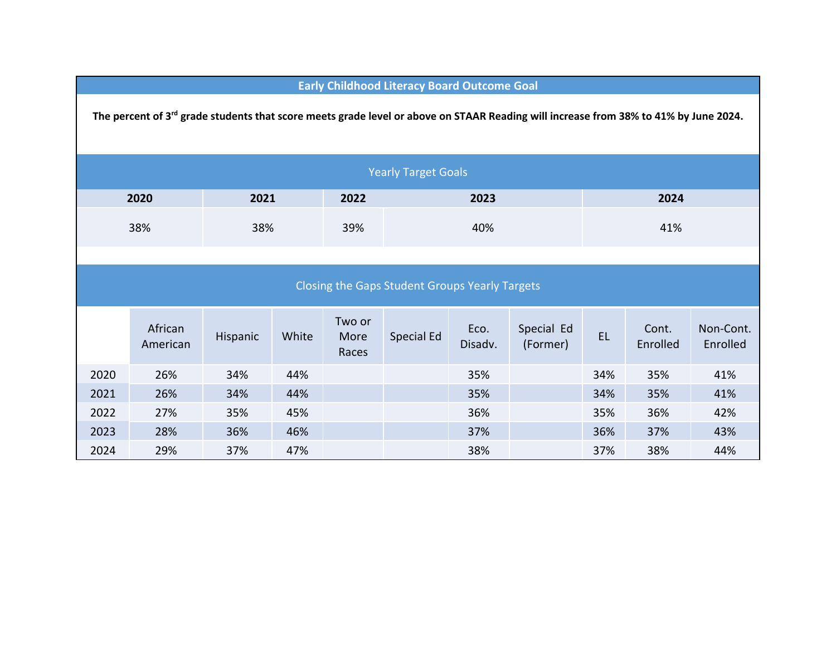| <b>Early Childhood Literacy Board Outcome Goal</b>                                                                                               |                     |          |       |                         |            |                 |                        |           |                   |                       |  |  |
|--------------------------------------------------------------------------------------------------------------------------------------------------|---------------------|----------|-------|-------------------------|------------|-----------------|------------------------|-----------|-------------------|-----------------------|--|--|
| The percent of 3 <sup>rd</sup> grade students that score meets grade level or above on STAAR Reading will increase from 38% to 41% by June 2024. |                     |          |       |                         |            |                 |                        |           |                   |                       |  |  |
| <b>Yearly Target Goals</b>                                                                                                                       |                     |          |       |                         |            |                 |                        |           |                   |                       |  |  |
| 2020                                                                                                                                             |                     | 2021     |       | 2022                    | 2023       |                 |                        | 2024      |                   |                       |  |  |
| 38%                                                                                                                                              |                     | 38%      |       | 39%                     | 40%        |                 |                        | 41%       |                   |                       |  |  |
|                                                                                                                                                  |                     |          |       |                         |            |                 |                        |           |                   |                       |  |  |
| Closing the Gaps Student Groups Yearly Targets                                                                                                   |                     |          |       |                         |            |                 |                        |           |                   |                       |  |  |
|                                                                                                                                                  | African<br>American | Hispanic | White | Two or<br>More<br>Races | Special Ed | Eco.<br>Disadv. | Special Ed<br>(Former) | <b>EL</b> | Cont.<br>Enrolled | Non-Cont.<br>Enrolled |  |  |
| 2020                                                                                                                                             | 26%                 | 34%      | 44%   |                         |            | 35%             |                        | 34%       | 35%               | 41%                   |  |  |
| 2021                                                                                                                                             | 26%                 | 34%      | 44%   |                         |            | 35%             |                        | 34%       | 35%               | 41%                   |  |  |
| 2022                                                                                                                                             | 27%                 | 35%      | 45%   |                         |            | 36%             |                        | 35%       | 36%               | 42%                   |  |  |
| 2023                                                                                                                                             | 28%                 | 36%      | 46%   |                         |            | 37%             |                        | 36%       | 37%               | 43%                   |  |  |
| 2024                                                                                                                                             | 29%                 | 37%      | 47%   |                         |            | 38%             |                        | 37%       | 38%               | 44%                   |  |  |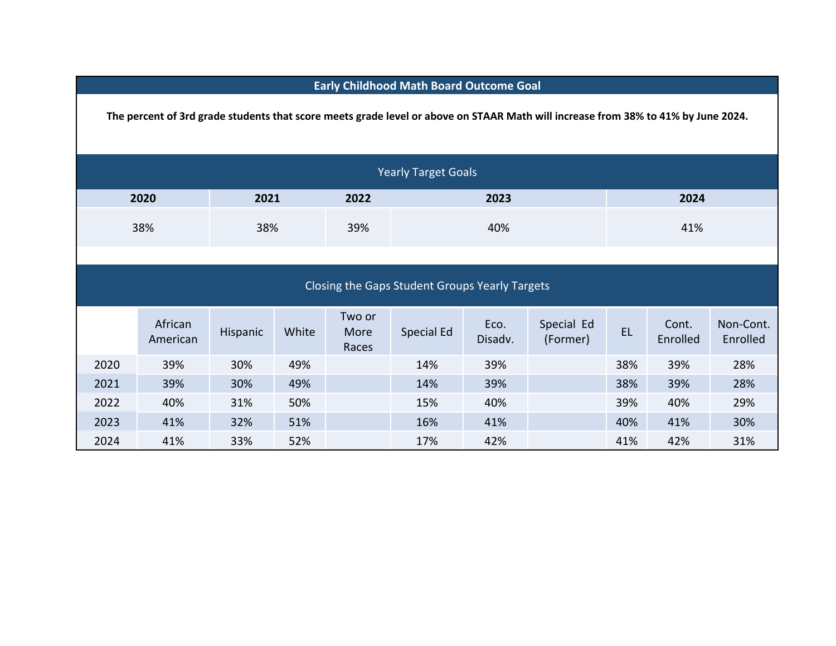| <b>Early Childhood Math Board Outcome Goal</b>                                                                                    |                     |          |       |                         |            |                 |                        |           |                   |                       |  |
|-----------------------------------------------------------------------------------------------------------------------------------|---------------------|----------|-------|-------------------------|------------|-----------------|------------------------|-----------|-------------------|-----------------------|--|
| The percent of 3rd grade students that score meets grade level or above on STAAR Math will increase from 38% to 41% by June 2024. |                     |          |       |                         |            |                 |                        |           |                   |                       |  |
| <b>Yearly Target Goals</b>                                                                                                        |                     |          |       |                         |            |                 |                        |           |                   |                       |  |
| 2020                                                                                                                              |                     | 2021     |       | 2022                    | 2023       |                 |                        | 2024      |                   |                       |  |
| 38%                                                                                                                               |                     | 38%      |       | 39%                     | 40%        |                 |                        | 41%       |                   |                       |  |
| Closing the Gaps Student Groups Yearly Targets                                                                                    |                     |          |       |                         |            |                 |                        |           |                   |                       |  |
|                                                                                                                                   | African<br>American | Hispanic | White | Two or<br>More<br>Races | Special Ed | Eco.<br>Disadv. | Special Ed<br>(Former) | <b>EL</b> | Cont.<br>Enrolled | Non-Cont.<br>Enrolled |  |
| 2020                                                                                                                              | 39%                 | 30%      | 49%   |                         | 14%        | 39%             |                        | 38%       | 39%               | 28%                   |  |
| 2021                                                                                                                              | 39%                 | 30%      | 49%   |                         | 14%        | 39%             |                        | 38%       | 39%               | 28%                   |  |
| 2022                                                                                                                              | 40%                 | 31%      | 50%   |                         | 15%        | 40%             |                        | 39%       | 40%               | 29%                   |  |
| 2023                                                                                                                              | 41%                 | 32%      | 51%   |                         | 16%        | 41%             |                        | 40%       | 41%               | 30%                   |  |
| 2024                                                                                                                              | 41%                 | 33%      | 52%   |                         | 17%        | 42%             |                        | 41%       | 42%               | 31%                   |  |